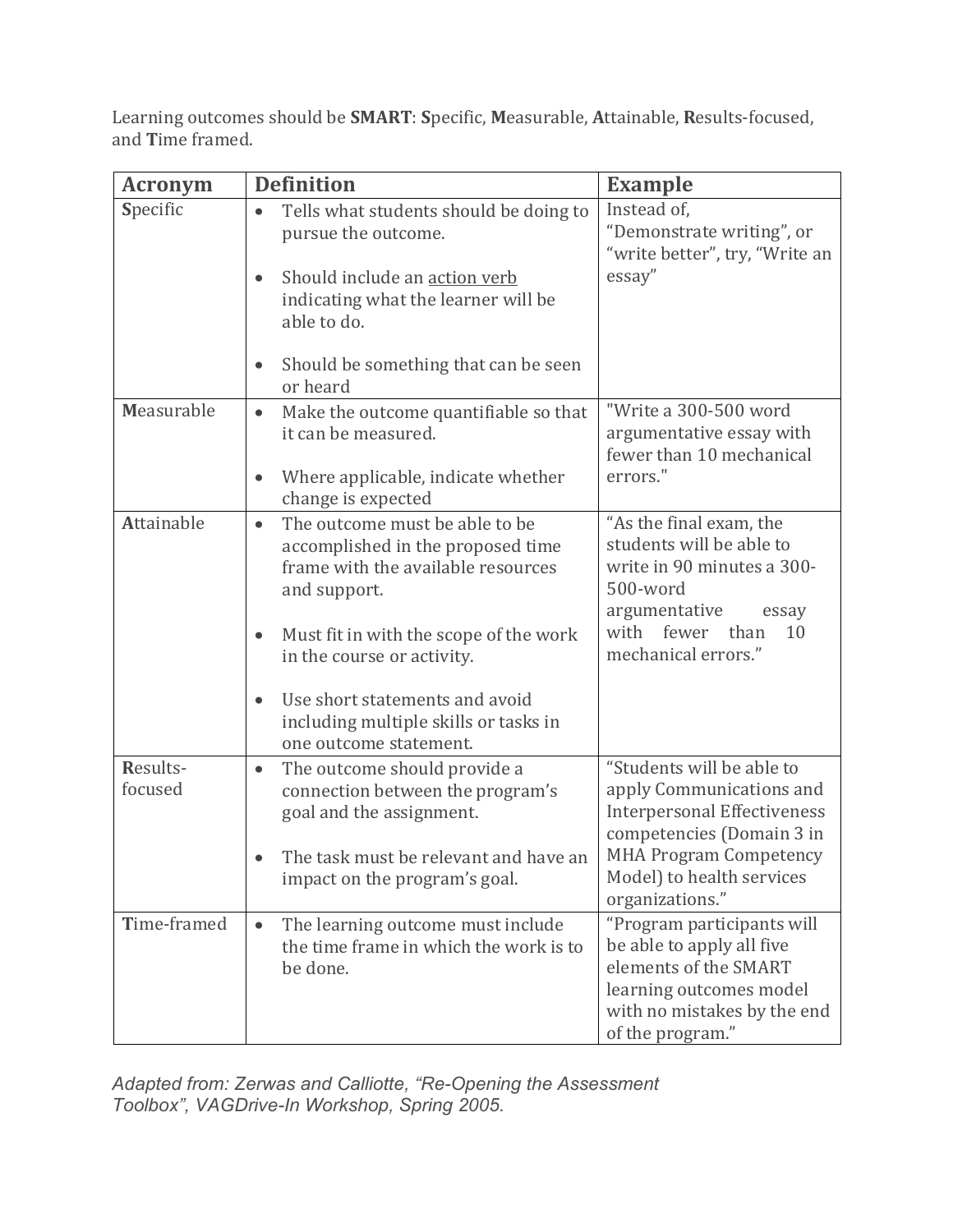Learning outcomes should be **SMART**: **S**pecific, **M**easurable, **A**ttainable, **R**esults-focused, and **T**ime framed.

| <b>Acronym</b>      | <b>Definition</b>                                                                                                                      | <b>Example</b>                                                                                                                                                 |
|---------------------|----------------------------------------------------------------------------------------------------------------------------------------|----------------------------------------------------------------------------------------------------------------------------------------------------------------|
| Specific            | Tells what students should be doing to<br>$\bullet$<br>pursue the outcome.                                                             | Instead of,<br>"Demonstrate writing", or<br>"write better", try, "Write an                                                                                     |
|                     | Should include an action verb<br>indicating what the learner will be<br>able to do.                                                    | essay"                                                                                                                                                         |
|                     | Should be something that can be seen<br>or heard                                                                                       |                                                                                                                                                                |
| Measurable          | Make the outcome quantifiable so that<br>$\bullet$<br>it can be measured.                                                              | "Write a 300-500 word<br>argumentative essay with<br>fewer than 10 mechanical                                                                                  |
|                     | Where applicable, indicate whether<br>change is expected                                                                               | errors."                                                                                                                                                       |
| <b>Attainable</b>   | The outcome must be able to be<br>$\bullet$<br>accomplished in the proposed time<br>frame with the available resources<br>and support. | "As the final exam, the<br>students will be able to<br>write in 90 minutes a 300-<br>500-word<br>argumentative<br>essay                                        |
|                     | Must fit in with the scope of the work<br>in the course or activity.                                                                   | with fewer than<br>10<br>mechanical errors."                                                                                                                   |
|                     | Use short statements and avoid<br>including multiple skills or tasks in<br>one outcome statement.                                      |                                                                                                                                                                |
| Results-<br>focused | The outcome should provide a<br>$\bullet$<br>connection between the program's<br>goal and the assignment.                              | "Students will be able to<br>apply Communications and<br><b>Interpersonal Effectiveness</b><br>competencies (Domain 3 in                                       |
|                     | The task must be relevant and have an<br>impact on the program's goal.                                                                 | <b>MHA Program Competency</b><br>Model) to health services<br>organizations."                                                                                  |
| Time-framed         | The learning outcome must include<br>$\bullet$<br>the time frame in which the work is to<br>be done.                                   | "Program participants will<br>be able to apply all five<br>elements of the SMART<br>learning outcomes model<br>with no mistakes by the end<br>of the program." |

*Adapted from: Zerwas and Calliotte, "Re-Opening the Assessment Toolbox", VAGDrive-In Workshop, Spring 2005.*